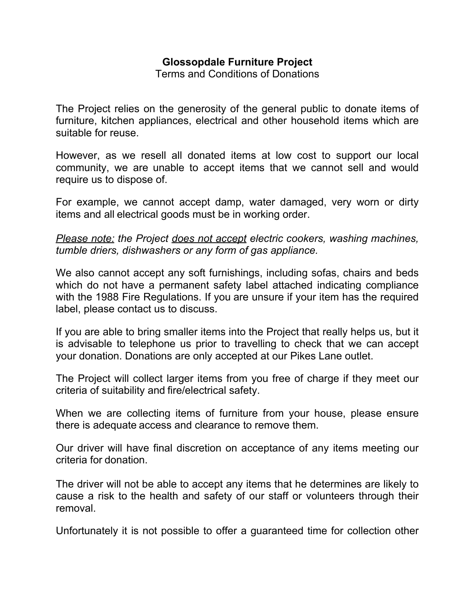## **Glossopdale Furniture Project**

Terms and Conditions of Donations

The Project relies on the generosity of the general public to donate items of furniture, kitchen appliances, electrical and other household items which are suitable for reuse.

However, as we resell all donated items at low cost to support our local community, we are unable to accept items that we cannot sell and would require us to dispose of.

For example, we cannot accept damp, water damaged, very worn or dirty items and all electrical goods must be in working order.

*Please note: the Project does not accept electric cookers, washing machines, tumble driers, dishwashers or any form of gas appliance.*

We also cannot accept any soft furnishings, including sofas, chairs and beds which do not have a permanent safety label attached indicating compliance with the 1988 Fire Regulations. If you are unsure if your item has the required label, please contact us to discuss.

If you are able to bring smaller items into the Project that really helps us, but it is advisable to telephone us prior to travelling to check that we can accept your donation. Donations are only accepted at our Pikes Lane outlet.

The Project will collect larger items from you free of charge if they meet our criteria of suitability and fire/electrical safety.

When we are collecting items of furniture from your house, please ensure there is adequate access and clearance to remove them.

Our driver will have final discretion on acceptance of any items meeting our criteria for donation.

The driver will not be able to accept any items that he determines are likely to cause a risk to the health and safety of our staff or volunteers through their removal.

Unfortunately it is not possible to offer a guaranteed time for collection other